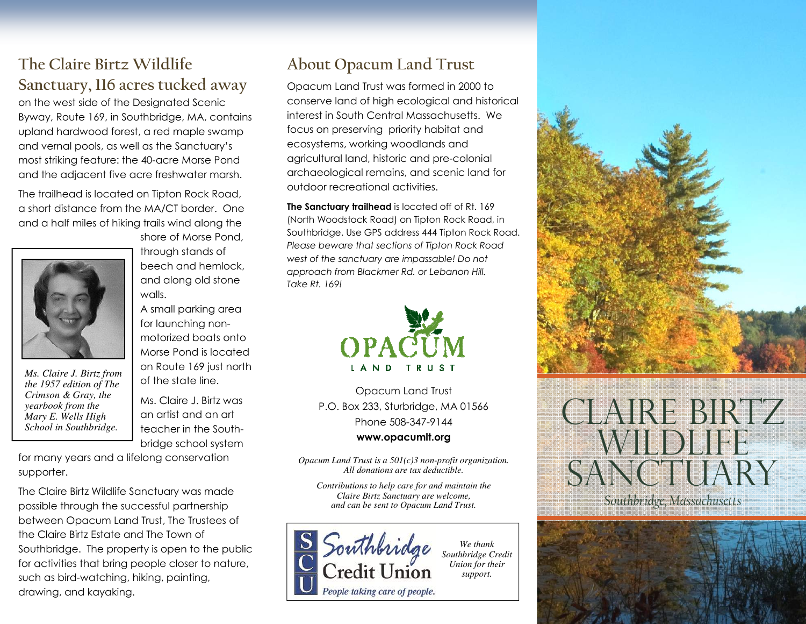## **The Claire Birtz Wildlife Sanctuary, 116 acres tucked away**

on the west side of the Designated Scenic Byway, Route 169, in Southbridge, MA, contains upland hardwood forest, a red maple swamp and vernal pools, as well as the Sanctuary's most striking feature: the 40-acre Morse Pond and the adjacent five acre freshwater marsh.

The trailhead is located on Tipton Rock Road, a short distance from the MA/CT border. One and a half miles of hiking trails wind along the



*Ms. Claire J. Birtz from the 1957 edition of The Crimson & Gray, the yearbook from the Mary E. Wells High School in Southbridge.* 

shore of Morse Pond, through stands of beech and hemlock, and along old stone walls.

A small parking area for launching nonmotorized boats onto Morse Pond is located on Route 169 just north of the state line.

Ms. Claire J. Birtz was an artist and an art teacher in the Southbridge school system

for many years and a lifelong conservation supporter.

The Claire Birtz Wildlife Sanctuary was made possible through the successful partnership between Opacum Land Trust, The Trustees of the Claire Birtz Estate and The Town of Southbridge. The property is open to the public for activities that bring people closer to nature, such as bird-watching, hiking, painting, drawing, and kayaking.

## **About Opacum Land Trust**

Opacum Land Trust was formed in 2000 to conserve land of high ecological and historical interest in South Central Massachusetts. We focus on preserving priority habitat and ecosystems, working woodlands and agricultural land, historic and pre-colonial archaeological remains, and scenic land for outdoor recreational activities.

**The Sanctuary trailhead** is located off of Rt. 169 (North Woodstock Road) on Tipton Rock Road, in Southbridge. Use GPS address 444 Tipton Rock Road. *Please beware that sections of Tipton Rock Road west of the sanctuary are impassable! Do not approach from Blackmer Rd. or Lebanon Hill. Take Rt. 169!*



Opacum Land Trust P.O. Box 233, Sturbridge, MA 01566 Phone 508-347-9144 **www.opacumlt.org** 

*Opacum Land Trust is a 501(c)3 non-profit organization. All donations are tax deductible.* 

*Contributions to help care for and maintain the Claire Birtz Sanctuary are welcome, and can be sent to Opacum Land Trust.*





## CLAIRE BIRTZ WILDLIFE SANCTUARY*Southbridge, Massachusetts*